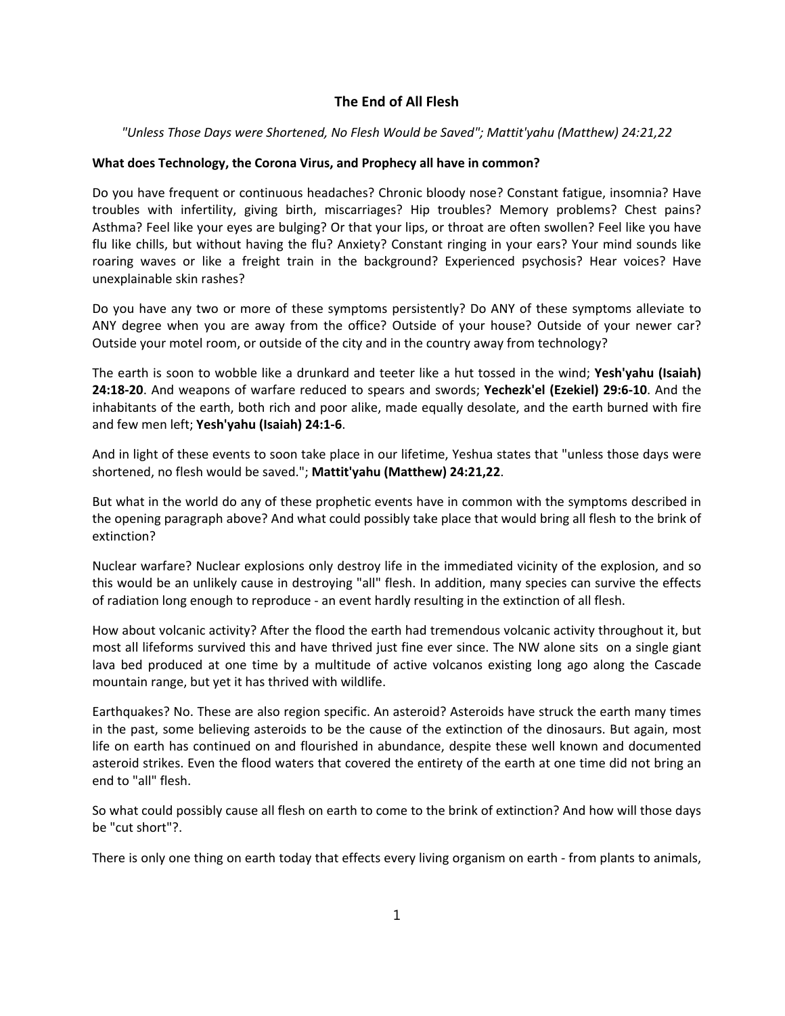## **The End of All Flesh**

## *"Unless Those Days were Shortened, No Flesh Would be Saved"; Mattit'yahu (Matthew) 24:21,22*

## **What does Technology, the Corona Virus, and Prophecy all have in common?**

Do you have frequent or continuous headaches? Chronic bloody nose? Constant fatigue, insomnia? Have troubles with infertility, giving birth, miscarriages? Hip troubles? Memory problems? Chest pains? Asthma? Feel like your eyes are bulging? Or that your lips, or throat are often swollen? Feel like you have flu like chills, but without having the flu? Anxiety? Constant ringing in your ears? Your mind sounds like roaring waves or like a freight train in the background? Experienced psychosis? Hear voices? Have unexplainable skin rashes?

Do you have any two or more of these symptoms persistently? Do ANY of these symptoms alleviate to ANY degree when you are away from the office? Outside of your house? Outside of your newer car? Outside your motel room, or outside of the city and in the country away from technology?

The earth is soon to wobble like a drunkard and teeter like a hut tossed in the wind; **Yesh'yahu (Isaiah) 24:18‐20**. And weapons of warfare reduced to spears and swords; **Yechezk'el (Ezekiel) 29:6‐10**. And the inhabitants of the earth, both rich and poor alike, made equally desolate, and the earth burned with fire and few men left; **Yesh'yahu (Isaiah) 24:1‐6**.

And in light of these events to soon take place in our lifetime, Yeshua states that "unless those days were shortened, no flesh would be saved."; **Mattit'yahu (Matthew) 24:21,22**.

But what in the world do any of these prophetic events have in common with the symptoms described in the opening paragraph above? And what could possibly take place that would bring all flesh to the brink of extinction?

Nuclear warfare? Nuclear explosions only destroy life in the immediated vicinity of the explosion, and so this would be an unlikely cause in destroying "all" flesh. In addition, many species can survive the effects of radiation long enough to reproduce ‐ an event hardly resulting in the extinction of all flesh.

How about volcanic activity? After the flood the earth had tremendous volcanic activity throughout it, but most all lifeforms survived this and have thrived just fine ever since. The NW alone sits on a single giant lava bed produced at one time by a multitude of active volcanos existing long ago along the Cascade mountain range, but yet it has thrived with wildlife.

Earthquakes? No. These are also region specific. An asteroid? Asteroids have struck the earth many times in the past, some believing asteroids to be the cause of the extinction of the dinosaurs. But again, most life on earth has continued on and flourished in abundance, despite these well known and documented asteroid strikes. Even the flood waters that covered the entirety of the earth at one time did not bring an end to "all" flesh.

So what could possibly cause all flesh on earth to come to the brink of extinction? And how will those days be "cut short"?.

There is only one thing on earth today that effects every living organism on earth ‐ from plants to animals,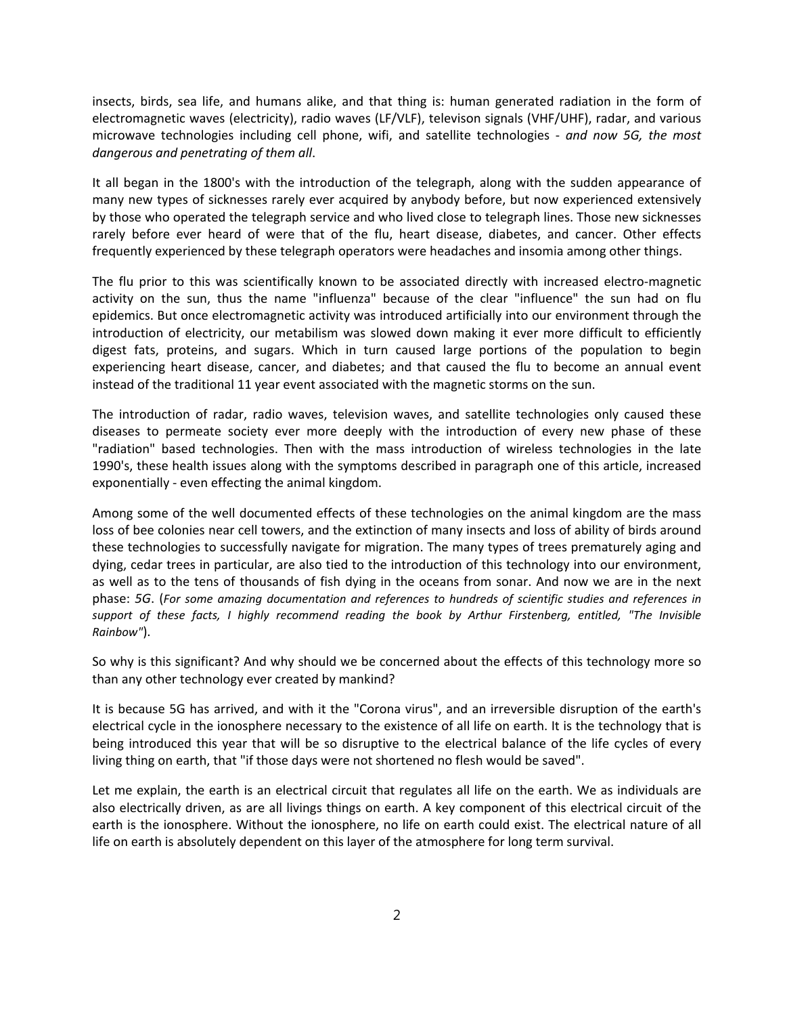insects, birds, sea life, and humans alike, and that thing is: human generated radiation in the form of electromagnetic waves (electricity), radio waves (LF/VLF), televison signals (VHF/UHF), radar, and various microwave technologies including cell phone, wifi, and satellite technologies ‐ *and now 5G, the most dangerous and penetrating of them all*.

It all began in the 1800's with the introduction of the telegraph, along with the sudden appearance of many new types of sicknesses rarely ever acquired by anybody before, but now experienced extensively by those who operated the telegraph service and who lived close to telegraph lines. Those new sicknesses rarely before ever heard of were that of the flu, heart disease, diabetes, and cancer. Other effects frequently experienced by these telegraph operators were headaches and insomia among other things.

The flu prior to this was scientifically known to be associated directly with increased electro-magnetic activity on the sun, thus the name "influenza" because of the clear "influence" the sun had on flu epidemics. But once electromagnetic activity was introduced artificially into our environment through the introduction of electricity, our metabilism was slowed down making it ever more difficult to efficiently digest fats, proteins, and sugars. Which in turn caused large portions of the population to begin experiencing heart disease, cancer, and diabetes; and that caused the flu to become an annual event instead of the traditional 11 year event associated with the magnetic storms on the sun.

The introduction of radar, radio waves, television waves, and satellite technologies only caused these diseases to permeate society ever more deeply with the introduction of every new phase of these "radiation" based technologies. Then with the mass introduction of wireless technologies in the late 1990's, these health issues along with the symptoms described in paragraph one of this article, increased exponentially ‐ even effecting the animal kingdom.

Among some of the well documented effects of these technologies on the animal kingdom are the mass loss of bee colonies near cell towers, and the extinction of many insects and loss of ability of birds around these technologies to successfully navigate for migration. The many types of trees prematurely aging and dying, cedar trees in particular, are also tied to the introduction of this technology into our environment, as well as to the tens of thousands of fish dying in the oceans from sonar. And now we are in the next phase: *5G*. (*For some amazing documentation and references to hundreds of scientific studies and references in support of these facts, I highly recommend reading the book by Arthur Firstenberg, entitled, "The Invisible Rainbow"*).

So why is this significant? And why should we be concerned about the effects of this technology more so than any other technology ever created by mankind?

It is because 5G has arrived, and with it the "Corona virus", and an irreversible disruption of the earth's electrical cycle in the ionosphere necessary to the existence of all life on earth. It is the technology that is being introduced this year that will be so disruptive to the electrical balance of the life cycles of every living thing on earth, that "if those days were not shortened no flesh would be saved".

Let me explain, the earth is an electrical circuit that regulates all life on the earth. We as individuals are also electrically driven, as are all livings things on earth. A key component of this electrical circuit of the earth is the ionosphere. Without the ionosphere, no life on earth could exist. The electrical nature of all life on earth is absolutely dependent on this layer of the atmosphere for long term survival.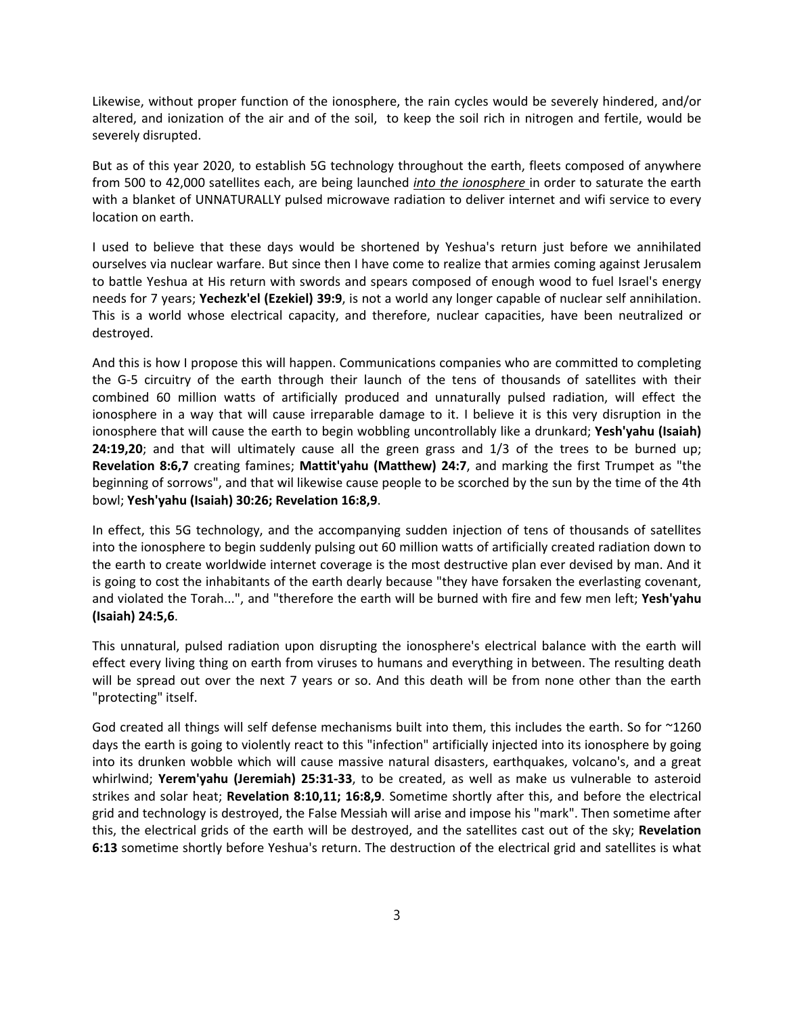Likewise, without proper function of the ionosphere, the rain cycles would be severely hindered, and/or altered, and ionization of the air and of the soil, to keep the soil rich in nitrogen and fertile, would be severely disrupted.

But as of this year 2020, to establish 5G technology throughout the earth, fleets composed of anywhere from 500 to 42,000 satellites each, are being launched *into the ionosphere* in order to saturate the earth with a blanket of UNNATURALLY pulsed microwave radiation to deliver internet and wifi service to every location on earth.

I used to believe that these days would be shortened by Yeshua's return just before we annihilated ourselves via nuclear warfare. But since then I have come to realize that armies coming against Jerusalem to battle Yeshua at His return with swords and spears composed of enough wood to fuel Israel's energy needs for 7 years; **Yechezk'el (Ezekiel) 39:9**, is not a world any longer capable of nuclear self annihilation. This is a world whose electrical capacity, and therefore, nuclear capacities, have been neutralized or destroyed.

And this is how I propose this will happen. Communications companies who are committed to completing the G‐5 circuitry of the earth through their launch of the tens of thousands of satellites with their combined 60 million watts of artificially produced and unnaturally pulsed radiation, will effect the ionosphere in a way that will cause irreparable damage to it. I believe it is this very disruption in the ionosphere that will cause the earth to begin wobbling uncontrollably like a drunkard; **Yesh'yahu (Isaiah) 24:19,20**; and that will ultimately cause all the green grass and 1/3 of the trees to be burned up; **Revelation 8:6,7** creating famines; **Mattit'yahu (Matthew) 24:7**, and marking the first Trumpet as "the beginning of sorrows", and that wil likewise cause people to be scorched by the sun by the time of the 4th bowl; **Yesh'yahu (Isaiah) 30:26; Revelation 16:8,9**.

In effect, this 5G technology, and the accompanying sudden injection of tens of thousands of satellites into the ionosphere to begin suddenly pulsing out 60 million watts of artificially created radiation down to the earth to create worldwide internet coverage is the most destructive plan ever devised by man. And it is going to cost the inhabitants of the earth dearly because "they have forsaken the everlasting covenant, and violated the Torah...", and "therefore the earth will be burned with fire and few men left; **Yesh'yahu (Isaiah) 24:5,6**.

This unnatural, pulsed radiation upon disrupting the ionosphere's electrical balance with the earth will effect every living thing on earth from viruses to humans and everything in between. The resulting death will be spread out over the next 7 years or so. And this death will be from none other than the earth "protecting" itself.

God created all things will self defense mechanisms built into them, this includes the earth. So for ~1260 days the earth is going to violently react to this "infection" artificially injected into its ionosphere by going into its drunken wobble which will cause massive natural disasters, earthquakes, volcano's, and a great whirlwind; **Yerem'yahu (Jeremiah) 25:31‐33**, to be created, as well as make us vulnerable to asteroid strikes and solar heat; **Revelation 8:10,11; 16:8,9**. Sometime shortly after this, and before the electrical grid and technology is destroyed, the False Messiah will arise and impose his "mark". Then sometime after this, the electrical grids of the earth will be destroyed, and the satellites cast out of the sky; **Revelation 6:13** sometime shortly before Yeshua's return. The destruction of the electrical grid and satellites is what